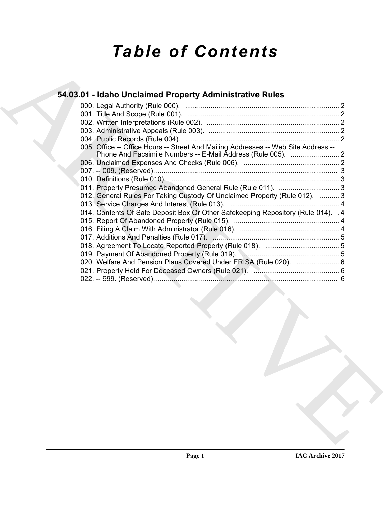# *Table of Contents*

### **54.03.01 - Idaho Unclaimed Property Administrative Rules**

| 005. Office -- Office Hours -- Street And Mailing Addresses -- Web Site Address -- |  |
|------------------------------------------------------------------------------------|--|
|                                                                                    |  |
|                                                                                    |  |
|                                                                                    |  |
|                                                                                    |  |
| 012. General Rules For Taking Custody Of Unclaimed Property (Rule 012).  3         |  |
|                                                                                    |  |
| 014. Contents Of Safe Deposit Box Or Other Safekeeping Repository (Rule 014). . 4  |  |
|                                                                                    |  |
|                                                                                    |  |
|                                                                                    |  |
|                                                                                    |  |
|                                                                                    |  |
| 020. Welfare And Pension Plans Covered Under ERISA (Rule 020).  6                  |  |
|                                                                                    |  |
|                                                                                    |  |
|                                                                                    |  |
|                                                                                    |  |
|                                                                                    |  |
|                                                                                    |  |
|                                                                                    |  |
|                                                                                    |  |
|                                                                                    |  |
|                                                                                    |  |
|                                                                                    |  |
|                                                                                    |  |
|                                                                                    |  |
|                                                                                    |  |
|                                                                                    |  |
|                                                                                    |  |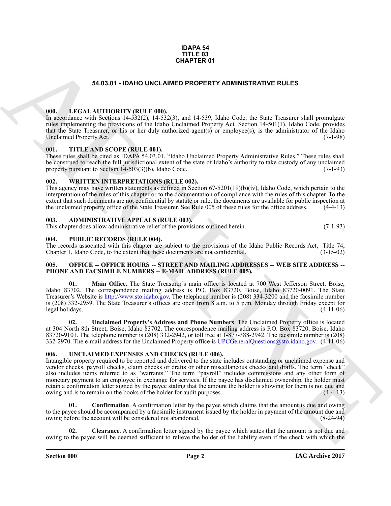#### **IDAPA 54 TITLE 03 CHAPTER 01**

#### **54.03.01 - IDAHO UNCLAIMED PROPERTY ADMINISTRATIVE RULES**

#### <span id="page-1-1"></span><span id="page-1-0"></span>**000. LEGAL AUTHORITY (RULE 000).**

In accordance with Sections 14-532(2), 14-532(3), and 14-539, Idaho Code, the State Treasurer shall promulgate rules implementing the provisions of the Idaho Unclaimed Property Act. Section 14-501(1), Idaho Code, provides that the State Treasurer, or his or her duly authorized agent(s) or employee(s), is the administrator of the Idaho Unclaimed Property Act.

#### <span id="page-1-2"></span>**001. TITLE AND SCOPE (RULE 001).**

These rules shall be cited as IDAPA 54.03.01, "Idaho Unclaimed Property Administrative Rules." These rules shall be construed to reach the full jurisdictional extent of the state of Idaho's authority to take custody of any unclaimed<br>property pursuant to Section 14-503(3)(b). Idaho Code. (7-1-93) property pursuant to Section  $14-503(3)(b)$ , Idaho Code.

#### <span id="page-1-3"></span>**002. WRITTEN INTERPRETATIONS (RULE 002).**

This agency may have written statements as defined in Section 67-5201(19)(b)(iv), Idaho Code, which pertain to the interpretation of the rules of this chapter or to the documentation of compliance with the rules of this chapter. To the extent that such documents are not confidential by statute or rule, the documents are available for public inspection at the unclaimed property office of the State Treasurer. See Rule 005 of these rules for the office address. (4-4-13)

#### <span id="page-1-4"></span>**003. ADMINISTRATIVE APPEALS (RULE 003).**

This chapter does allow administrative relief of the provisions outlined herein. (7-1-93)

#### <span id="page-1-5"></span>**004. PUBLIC RECORDS (RULE 004).**

The records associated with this chapter are subject to the provisions of the Idaho Public Records Act, Title 74, Chapter 1. Idaho Code, to the extent that these documents are not confidential. (3-15-02) Chapter 1, Idaho Code, to the extent that these documents are not confidential.

#### <span id="page-1-6"></span>**005. OFFICE -- OFFICE HOURS -- STREET AND MAILING ADDRESSES -- WEB SITE ADDRESS -- PHONE AND FACSIMILE NUMBERS -- E-MAIL ADDRESS (RULE 005).**

**01. Main Office**. The State Treasurer's main office is located at 700 West Jefferson Street, Boise, Idaho 83702. The correspondence mailing address is P.O. Box 83720, Boise, Idaho 83720-0091. The State Treasurer's Website is http://www.sto.idaho.gov. The telephone number is (208) 334-3200 and the facsimile number is (208) 332-2959. The State Treasurer's offices are open from 8 a.m. to 5 p.m. Monday through Friday except for legal holidays.

**02. Unclaimed Property's Address and Phone Numbers**. The Unclaimed Property office is located at 304 North 8th Street, Boise, Idaho 83702. The correspondence mailing address is P.O. Box 83720, Boise, Idaho 83720-9101. The telephone number is (208) 332-2942, or toll free at 1-877-388-2942. The facsimile number is (208) 332-2970. The e-mail address for the Unclaimed Property office is UPCGeneralQuestions@sto.idaho.gov. (4-11-06)

#### <span id="page-1-8"></span><span id="page-1-7"></span>**006. UNCLAIMED EXPENSES AND CHECKS (RULE 006).**

**C[H](http://www.sto.idaho.gov)APTER 01**<br> **CHAPTER 01**<br> **CHAPTER 01**<br> **CHAPTER 01**<br> **CHAPTER 01**<br> **CHAPTER 1000 UNICORPORTY ADMINISTRAT[IV](mailto:UPCGeneralQuestions@sto.idaho.gov)E RULES**<br> **CHAPTER 1000**<br> **CHAPTER 1000**<br> **CHAPTER 1000**<br> **CHAPTER 1000**<br> **CHAPTER 1000**<br> **CHAPTER 1000**<br> **CHAPT** Intangible property required to be reported and delivered to the state includes outstanding or unclaimed expense and vendor checks, payroll checks, claim checks or drafts or other miscellaneous checks and drafts. The term "check" also includes items referred to as "warrants." The term "payroll" includes commissions and any other form of monetary payment to an employee in exchange for services. If the payee has disclaimed ownership, the holder must retain a confirmation letter signed by the payee stating that the amount the holder is showing for them is not due and owing and is to remain on the books of the holder for audit purposes. (4-4-13)

<span id="page-1-10"></span>**01.** Confirmation. A confirmation letter by the payee which claims that the amount is due and owing to the payee should be accompanied by a facsimile instrument issued by the holder in payment of the amount due and owing before the account will be considered not abandoned. (8-24-94) owing before the account will be considered not abandoned.

<span id="page-1-9"></span>**02. Clearance**. A confirmation letter signed by the payee which states that the amount is not due and owing to the payee will be deemed sufficient to relieve the holder of the liability even if the check with which the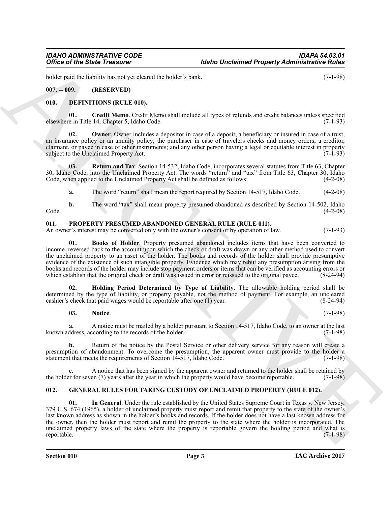holder paid the liability has not yet cleared the holder's bank. (7-1-98)

<span id="page-2-0"></span>**007. -- 009. (RESERVED)**

#### <span id="page-2-4"></span><span id="page-2-1"></span>**010. DEFINITIONS (RULE 010).**

<span id="page-2-5"></span>**01. Credit Memo**. Credit Memo shall include all types of refunds and credit balances unless specified elsewhere in Title 14, Chapter 5, Idaho Code. (7-1-93)

<span id="page-2-6"></span>**Owner**. Owner includes a depositor in case of a deposit; a beneficiary or insured in case of a trust, an insurance policy or an annuity policy; the purchaser in case of travelers checks and money orders; a creditor, claimant, or payee in case of other instruments; and any other person having a legal or equitable interest in property subject to the Unclaimed Property Act.

**03.** Return and Tax. Section 14-532, Idaho Code, incorporates several statutes from Title 63, Chapter 30, Idaho Code, into the Unclaimed Property Act. The words "return" and "tax" from Title 63, Chapter 30, Idaho Code, when applied to the Unclaimed Property Act shall be defined as follows: (4-2-08) Code, when applied to the Unclaimed Property Act shall be defined as follows:

<span id="page-2-7"></span>**a.** The word "return" shall mean the report required by Section 14-517, Idaho Code. (4-2-08)

**b.** The word "tax" shall mean property presumed abandoned as described by Section 14-502, Idaho (4-2-08)  $\text{Code.} \tag{4-2-08}$ 

#### <span id="page-2-10"></span><span id="page-2-2"></span>**011. PROPERTY PRESUMED ABANDONED GENERAL RULE (RULE 011).**

An owner's interest may be converted only with the owner's consent or by operation of law. (7-1-93)

<span id="page-2-11"></span>**01. Books of Holder**. Property presumed abandoned includes items that have been converted to income, reversed back to the account upon which the check or draft was drawn or any other method used to convert the unclaimed property to an asset of the holder. The books and records of the holder shall provide presumptive evidence of the existence of such intangible property. Evidence which may rebut any presumption arising from the books and records of the holder may include stop payment orders or items that can be verified as accounting errors or which establish that the original check or draft was issued in error or reissued to the original payee.

**02. Holding Period Determined by Type of Liability**. The allowable holding period shall be determined by the type of liability, or property payable, not the method of payment. For example, an uncleared cashier's check that paid wages would be reportable after one (1) year. (8-24-94) cashier's check that paid wages would be reportable after one  $(1)$  year.

<span id="page-2-13"></span><span id="page-2-12"></span>**03. Notice**. (7-1-98)

**a.** A notice must be mailed by a holder pursuant to Section 14-517, Idaho Code, to an owner at the last known address, according to the records of the holder.

**b.** Return of the notice by the Postal Service or other delivery service for any reason will create a presumption of abandonment. To overcome the presumption, the apparent owner must provide to the holder a statement that meets the requirements of Section 14-517, Idaho Code. (7-1-98) statement that meets the requirements of Section 14-517, Idaho Code.

**c.** A notice that has been signed by the apparent owner and returned to the holder shall be retained by the holder for seven (7) years after the year in which the property would have become reportable. (7-1-98)

#### <span id="page-2-9"></span><span id="page-2-8"></span><span id="page-2-3"></span>**012. GENERAL RULES FOR TAKING CUSTODY OF UNCLAIMED PROPERTY (RULE 012).**

Office of the Sinke Treasurer<br>
Mabe Unchained Property Administrative Poisits<br>
160. Leading the sinke three states are the sinker of the sinker of the sinker of the sinker of the sinker of the sinker of the sinker of the **01. In General**. Under the rule established by the United States Supreme Court in Texas v. New Jersey, 379 U.S. 674 (1965), a holder of unclaimed property must report and remit that property to the state of the owner's last known address as shown in the holder's books and records. If the holder does not have a last known address for the owner, then the holder must report and remit the property to the state where the holder is incorporated. The unclaimed property laws of the state where the property is reportable govern the holding period and what is reportable.  $(7-1-98)$ reportable. (7-1-98)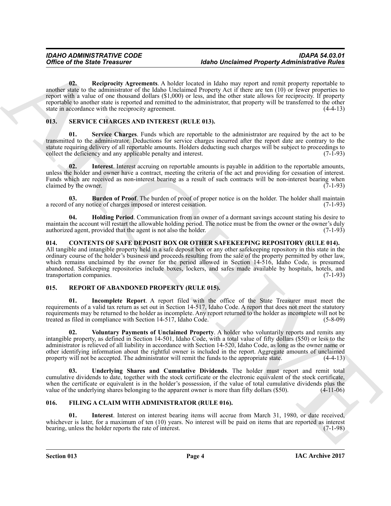Office of the Sinie Treasurer Identified the label Uncleaned Property Administrative Studies<br>
youth 02. Received Archives Note Is also may operate the Sinie Control in the Sinie Control in the Sinie Control in the Sinie C **02. Reciprocity Agreements**. A holder located in Idaho may report and remit property reportable to another state to the administrator of the Idaho Unclaimed Property Act if there are ten (10) or fewer properties to report with a value of one thousand dollars (\$1,000) or less, and the other state allows for reciprocity. If property reportable to another state is reported and remitted to the administrator, that property will be transferred to the other state in accordance with the reciprocity agreement. (4-4-13)

#### <span id="page-3-12"></span><span id="page-3-7"></span><span id="page-3-0"></span>**013. SERVICE CHARGES AND INTEREST (RULE 013).**

<span id="page-3-16"></span>**01. Service Charges**. Funds which are reportable to the administrator are required by the act to be transmitted to the administrator. Deductions for service charges incurred after the report date are contrary to the statute requiring delivery of all reportable amounts. Holders deducting such charges will be subject to proceedings to collect the deficiency and any applicable penalty and interest. (7-1-93) collect the deficiency and any applicable penalty and interest.

<span id="page-3-15"></span>**02.** Interest. Interest accruing on reportable amounts is payable in addition to the reportable amounts, unless the holder and owner have a contract, meeting the criteria of the act and providing for cessation of interest. Funds which are received as non-interest bearing as a result of such contracts will be non-interest bearing when claimed by the owner. (7-1-93) claimed by the owner.

<span id="page-3-13"></span>**03. Burden of Proof**. The burden of proof of proper notice is on the holder. The holder shall maintain of any notice of charges imposed or interest cessation. (7-1-93) a record of any notice of charges imposed or interest cessation.

<span id="page-3-14"></span>**04. Holding Period**. Communication from an owner of a dormant savings account stating his desire to maintain the account will restart the allowable holding period. The notice must be from the owner or the owner's duly authorized agent, provided that the agent is not also the holder. (7-1-93)

#### <span id="page-3-4"></span><span id="page-3-1"></span>**014. CONTENTS OF SAFE DEPOSIT BOX OR OTHER SAFEKEEPING REPOSITORY (RULE 014).**

All tangible and intangible property held in a safe deposit box or any other safekeeping repository in this state in the ordinary course of the holder's business and proceeds resulting from the sale of the property permitted by other law, which remains unclaimed by the owner for the period allowed in Section 14-516, Idaho Code, is presumed abandoned. Safekeeping repositories include boxes, lockers, and safes made available by hospitals, hotels, and transportation companies. (7-1-93) transportation companies.

#### <span id="page-3-8"></span><span id="page-3-2"></span>**015. REPORT OF ABANDONED PROPERTY (RULE 015).**

<span id="page-3-9"></span>**01. Incomplete Report**. A report filed with the office of the State Treasurer must meet the requirements of a valid tax return as set out in Section 14-517, Idaho Code. A report that does not meet the statutory requirements may be returned to the holder as incomplete. Any report returned to the holder as incomplete will not be treated as filed in compliance with Section 14-517, Idaho Code. (5-8-09)

<span id="page-3-11"></span>**02. Voluntary Payments of Unclaimed Property**. A holder who voluntarily reports and remits any intangible property, as defined in Section 14-501, Idaho Code, with a total value of fifty dollars (\$50) or less to the administrator is relieved of all liability in accordance with Section 14-520, Idaho Code, as long as the owner name or other identifying information about the rightful owner is included in the report. Aggregate amounts of unclaimed property will not be accepted. The administrator will remit the funds to the appropriate state. (4-4-13)

<span id="page-3-10"></span>**03. Underlying Shares and Cumulative Dividends**. The holder must report and remit total cumulative dividends to date, together with the stock certificate or the electronic equivalent of the stock certificate, when the certificate or equivalent is in the holder's possession, if the value of total cumulative dividends plus the value of the underlying shares belonging to the apparent owner is more than fifty dollars (\$50). (4-11-0 value of the underlying shares belonging to the apparent owner is more than fifty dollars (\$50).

#### <span id="page-3-5"></span><span id="page-3-3"></span>**016. FILING A CLAIM WITH ADMINISTRATOR (RULE 016).**

<span id="page-3-6"></span>**01. Interest**. Interest on interest bearing items will accrue from March 31, 1980, or date received, whichever is later, for a maximum of ten  $(10)$  years. No interest will be paid on items that are reported as interest bearing, unless the holder reports the rate of interest. bearing, unless the holder reports the rate of interest.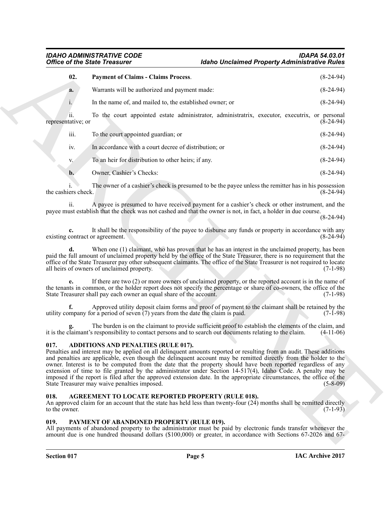#### <span id="page-4-5"></span>*IDAHO ADMINISTRATIVE CODE IDAPA 54.03.01* **Idaho Unclaimed Property Administrative Rules**

| <b>Office of the State Treasurer</b>    |                                                                                                                                                                                                                                                                                                                                                                                                                                                                                                                                                                                                                                                                                           | <b>Idaho Unclaimed Property Administrative Rules</b>                                                           |                       |
|-----------------------------------------|-------------------------------------------------------------------------------------------------------------------------------------------------------------------------------------------------------------------------------------------------------------------------------------------------------------------------------------------------------------------------------------------------------------------------------------------------------------------------------------------------------------------------------------------------------------------------------------------------------------------------------------------------------------------------------------------|----------------------------------------------------------------------------------------------------------------|-----------------------|
| 02.                                     | <b>Payment of Claims - Claims Process.</b>                                                                                                                                                                                                                                                                                                                                                                                                                                                                                                                                                                                                                                                |                                                                                                                | $(8-24-94)$           |
| a.                                      | Warrants will be authorized and payment made:                                                                                                                                                                                                                                                                                                                                                                                                                                                                                                                                                                                                                                             |                                                                                                                | $(8-24-94)$           |
| $i$ .                                   | In the name of, and mailed to, the established owner; or                                                                                                                                                                                                                                                                                                                                                                                                                                                                                                                                                                                                                                  |                                                                                                                | $(8-24-94)$           |
| $\overline{11}$ .<br>representative; or | To the court appointed estate administrator, administratrix, executor, executrix, or personal                                                                                                                                                                                                                                                                                                                                                                                                                                                                                                                                                                                             |                                                                                                                | $(\bar{8} - 24 - 94)$ |
| iii.                                    | To the court appointed guardian; or                                                                                                                                                                                                                                                                                                                                                                                                                                                                                                                                                                                                                                                       |                                                                                                                | $(8-24-94)$           |
| iv.                                     | In accordance with a court decree of distribution; or                                                                                                                                                                                                                                                                                                                                                                                                                                                                                                                                                                                                                                     |                                                                                                                | $(8-24-94)$           |
| V.                                      | To an heir for distribution to other heirs; if any.                                                                                                                                                                                                                                                                                                                                                                                                                                                                                                                                                                                                                                       |                                                                                                                | $(8-24-94)$           |
| $\mathbf{b}$ .                          | Owner, Cashier's Checks:                                                                                                                                                                                                                                                                                                                                                                                                                                                                                                                                                                                                                                                                  |                                                                                                                | $(8-24-94)$           |
| the cashiers check.                     | The owner of a cashier's check is presumed to be the payee unless the remitter has in his possession                                                                                                                                                                                                                                                                                                                                                                                                                                                                                                                                                                                      |                                                                                                                | $(8-24-94)$           |
| 11.                                     | A payee is presumed to have received payment for a cashier's check or other instrument, and the<br>payee must establish that the check was not cashed and that the owner is not, in fact, a holder in due course.                                                                                                                                                                                                                                                                                                                                                                                                                                                                         |                                                                                                                | $(8-24-94)$           |
| existing contract or agreement.         | It shall be the responsibility of the payee to disburse any funds or property in accordance with any                                                                                                                                                                                                                                                                                                                                                                                                                                                                                                                                                                                      |                                                                                                                | $(8-24-94)$           |
| d.                                      | When one (1) claimant, who has proven that he has an interest in the unclaimed property, has been<br>paid the full amount of unclaimed property held by the office of the State Treasurer, there is no requirement that the<br>office of the State Treasurer pay other subsequent claimants. The office of the State Treasurer is not required to locate<br>all heirs of owners of unclaimed property.                                                                                                                                                                                                                                                                                    |                                                                                                                | $(7-1-98)$            |
|                                         | If there are two (2) or more owners of unclaimed property, or the reported account is in the name of<br>the tenants in common, or the holder report does not specify the percentage or share of co-owners, the office of the<br>State Treasurer shall pay each owner an equal share of the account.                                                                                                                                                                                                                                                                                                                                                                                       |                                                                                                                | $(7-1-98)$            |
| f.                                      | Approved utility deposit claim forms and proof of payment to the claimant shall be retained by the<br>utility company for a period of seven $(7)$ years from the date the claim is paid.                                                                                                                                                                                                                                                                                                                                                                                                                                                                                                  |                                                                                                                | $(7-1-98)$            |
|                                         | The burden is on the claimant to provide sufficient proof to establish the elements of the claim, and<br>it is the claimant's responsibility to contact persons and to search out documents relating to the claim.                                                                                                                                                                                                                                                                                                                                                                                                                                                                        |                                                                                                                | $(4-11-06)$           |
| 017.                                    | ADDITIONS AND PENALTIES (RULE 017).<br>Penalties and interest may be applied on all delinquent amounts reported or resulting from an audit. These additions<br>and penalties are applicable, even though the delinquent account may be remitted directly from the holder to the<br>owner. Interest is to be computed from the date that the property should have been reported regardless of any<br>extension of time to file granted by the administrator under Section 14-517(4), Idaho Code. A penalty may be<br>imposed if the report is filed after the approved extension date. In the appropriate circumstances, the office of the<br>State Treasurer may waive penalties imposed. |                                                                                                                | $(5-8-09)$            |
| 018.<br>to the owner.                   | AGREEMENT TO LOCATE REPORTED PROPERTY (RULE 018).<br>An approved claim for an account that the state has held less than twenty-four (24) months shall be remitted directly                                                                                                                                                                                                                                                                                                                                                                                                                                                                                                                |                                                                                                                | $(7-1-93)$            |
| 019.                                    | PAYMENT OF ABANDONED PROPERTY (RULE 019).<br>All payments of abandoned property to the administrator must be paid by electronic funds transfer whenever the                                                                                                                                                                                                                                                                                                                                                                                                                                                                                                                               | amount due is one hundred thousand dollars (\$100,000) or greater, in accordance with Sections 67-2026 and 67- |                       |

#### <span id="page-4-3"></span><span id="page-4-0"></span>**017. ADDITIONS AND PENALTIES (RULE 017).**

#### <span id="page-4-4"></span><span id="page-4-1"></span>**018. AGREEMENT TO LOCATE REPORTED PROPERTY (RULE 018).**

#### <span id="page-4-6"></span><span id="page-4-2"></span>**019. PAYMENT OF ABANDONED PROPERTY (RULE 019).**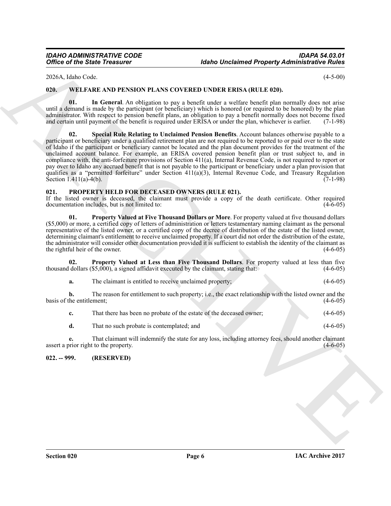2026A, Idaho Code. (4-5-00)

#### <span id="page-5-6"></span><span id="page-5-0"></span>**020. WELFARE AND PENSION PLANS COVERED UNDER ERISA (RULE 020).**

<span id="page-5-8"></span><span id="page-5-7"></span>**01. In General**. An obligation to pay a benefit under a welfare benefit plan normally does not arise until a demand is made by the participant (or beneficiary) which is honored (or required to be honored) by the plan administrator. With respect to pension benefit plans, an obligation to pay a benefit normally does not become fixed and certain until payment of the benefit is required under ERISA or under the plan, whichever is earlier. (7-1-98)

Office of the Sinic Yreason's The MAS COVERED (Motioned Property Administrative Rives)<br>
2020-A kolis Youk Covered American and COVERED (NBTR ERISA) (RET E ED)<br>
2011. Will Facture AND PESSION PLANS COVERED (NBTR ERISA) (RE **02. Special Rule Relating to Unclaimed Pension Benefits**. Account balances otherwise payable to a participant or beneficiary under a qualified retirement plan are not required to be reported to or paid over to the state of Idaho if the participant or beneficiary cannot be located and the plan document provides for the treatment of the unclaimed account balance. For example, an ERISA covered pension benefit plan or trust subject to, and in compliance with, the anti-forfeiture provisions of Section 411(a), Internal Revenue Code, is not required to report or pay over to Idaho any accrued benefit that is not payable to the participant or beneficiary under a plan provision that qualifies as a "permitted forfeiture" under Section 411(a)(3), Internal Revenue Code, and Treasury Regulation Section  $1.411(a) - 4(b)$ . (7-1-98)

#### <span id="page-5-3"></span><span id="page-5-1"></span>**021. PROPERTY HELD FOR DECEASED OWNERS (RULE 021).**

If the listed owner is deceased, the claimant must provide a copy of the death certificate. Other required documentation includes but is not limited to: (4-6-05) documentation includes, but is not limited to:

<span id="page-5-4"></span>**01. Property Valued at Five Thousand Dollars or More**. For property valued at five thousand dollars (\$5,000) or more, a certified copy of letters of administration or letters testamentary naming claimant as the personal representative of the listed owner, or a certified copy of the decree of distribution of the estate of the listed owner, determining claimant's entitlement to receive unclaimed property. If a court did not order the distribution of the estate, the administrator will consider other documentation provided it is sufficient to establish the identity of the claimant as<br>the rightful heir of the owner. the rightful heir of the owner.

**02. Property Valued at Less than Five Thousand Dollars**. For property valued at less than five thousand dollars  $(\$5,000)$ , a signed affidavit executed by the claimant, stating that: (4-6-05)

<span id="page-5-5"></span>**a.** The claimant is entitled to receive unclaimed property; (4-6-05)

**b.** The reason for entitlement to such property; i.e., the exact relationship with the listed owner and the the entitlement; (4-6-05) basis of the entitlement;

**c.** That there has been no probate of the estate of the deceased owner; (4-6-05)

**d.** That no such probate is contemplated; and (4-6-05)

**e.** That claimant will indemnify the state for any loss, including attorney fees, should another claimant assert a prior right to the property. (4-6-05)

#### <span id="page-5-2"></span>**022. -- 999. (RESERVED)**